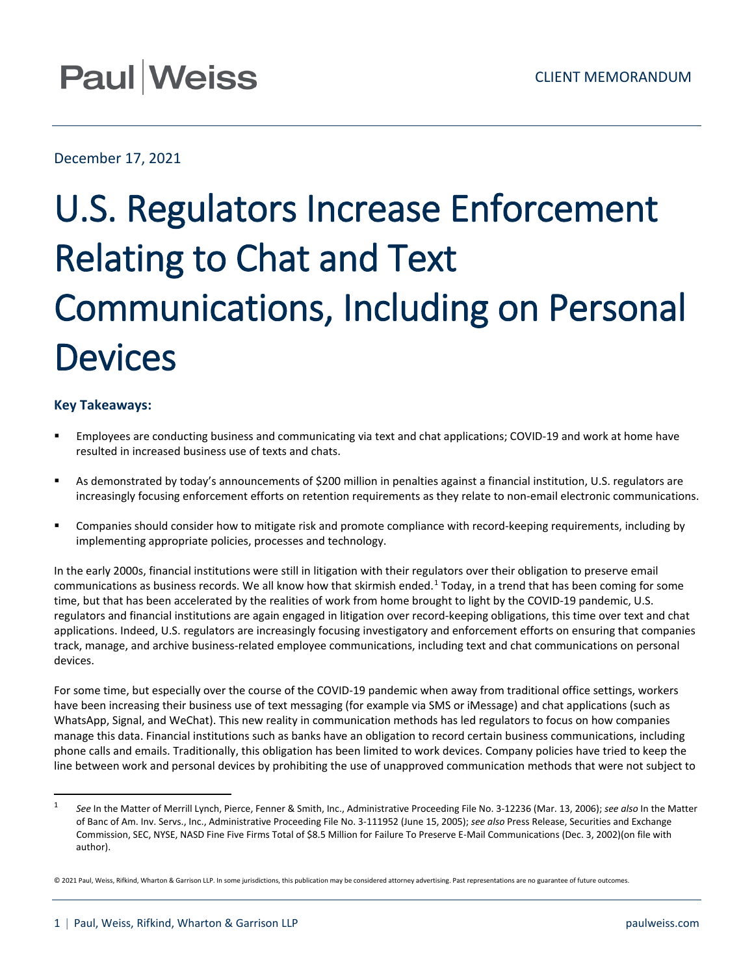## **Paul Weiss**

## December 17, 2021

## U.S. Regulators Increase Enforcement Relating to Chat and Text Communications, Including on Personal **Devices**

## **Key Takeaways:**

- Employees are conducting business and communicating via text and chat applications; COVID-19 and work at home have resulted in increased business use of texts and chats.
- As demonstrated by today's announcements of \$200 million in penalties against a financial institution, U.S. regulators are increasingly focusing enforcement efforts on retention requirements as they relate to non-email electronic communications.
- Companies should consider how to mitigate risk and promote compliance with record-keeping requirements, including by implementing appropriate policies, processes and technology.

In the early 2000s, financial institutions were still in litigation with their regulators over their obligation to preserve email communications as business records. We all know how that skirmish ended.[1](#page-0-0) Today, in a trend that has been coming for some time, but that has been accelerated by the realities of work from home brought to light by the COVID-19 pandemic, U.S. regulators and financial institutions are again engaged in litigation over record-keeping obligations, this time over text and chat applications. Indeed, U.S. regulators are increasingly focusing investigatory and enforcement efforts on ensuring that companies track, manage, and archive business-related employee communications, including text and chat communications on personal devices.

For some time, but especially over the course of the COVID-19 pandemic when away from traditional office settings, workers have been increasing their business use of text messaging (for example via SMS or iMessage) and chat applications (such as WhatsApp, Signal, and WeChat). This new reality in communication methods has led regulators to focus on how companies manage this data. Financial institutions such as banks have an obligation to record certain business communications, including phone calls and emails. Traditionally, this obligation has been limited to work devices. Company policies have tried to keep the line between work and personal devices by prohibiting the use of unapproved communication methods that were not subject to

<span id="page-0-0"></span> <sup>1</sup> *See* In the Matter of Merrill Lynch, Pierce, Fenner & Smith, Inc., Administrative Proceeding File No. 3-12236 (Mar. 13, 2006); *see also* In the Matter of Banc of Am. Inv. Servs., Inc., Administrative Proceeding File No. 3-111952 (June 15, 2005); *see also* Press Release, Securities and Exchange Commission, SEC, NYSE, NASD Fine Five Firms Total of \$8.5 Million for Failure To Preserve E-Mail Communications (Dec. 3, 2002)(on file with author).

<sup>© 2021</sup> Paul, Weiss, Rifkind, Wharton & Garrison LLP. In some jurisdictions, this publication may be considered attorney advertising. Past representations are no guarantee of future outcomes.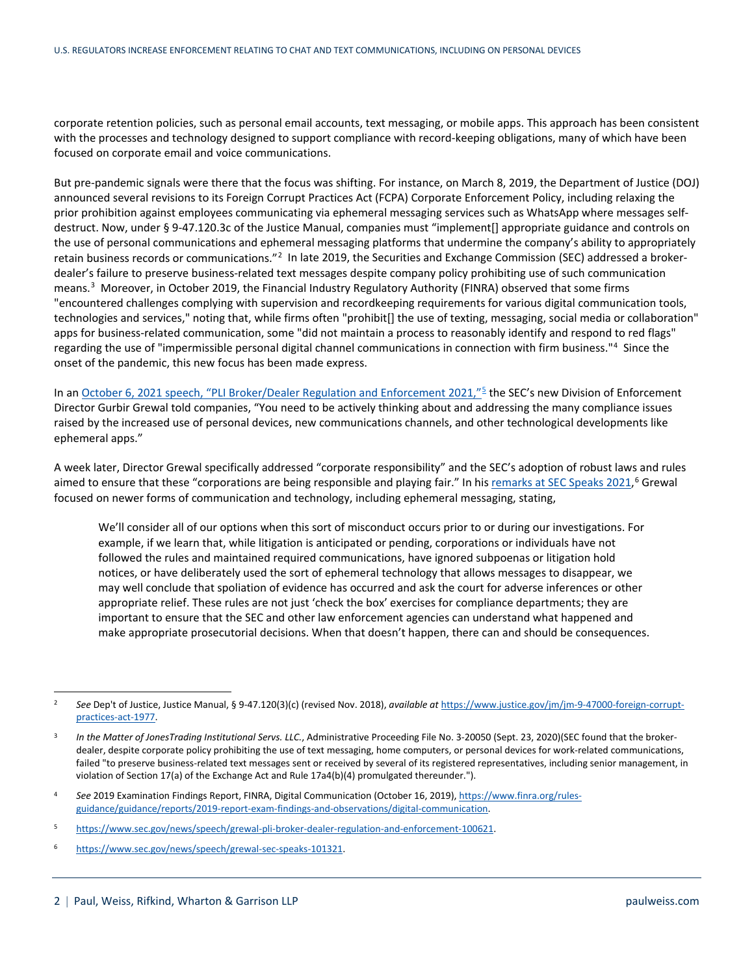corporate retention policies, such as personal email accounts, text messaging, or mobile apps. This approach has been consistent with the processes and technology designed to support compliance with record-keeping obligations, many of which have been focused on corporate email and voice communications.

But pre-pandemic signals were there that the focus was shifting. For instance, on March 8, 2019, the Department of Justice (DOJ) announced several revisions to its Foreign Corrupt Practices Act (FCPA) Corporate Enforcement Policy, including relaxing the prior prohibition against employees communicating via ephemeral messaging services such as WhatsApp where messages selfdestruct. Now, under § 9-47.120.3c of the Justice Manual, companies must "implement[] appropriate guidance and controls on the use of personal communications and ephemeral messaging platforms that undermine the company's ability to appropriately retain business records or communications."[2](#page-1-0) In late 2019, the Securities and Exchange Commission (SEC) addressed a brokerdealer's failure to preserve business-related text messages despite company policy prohibiting use of such communication means.<sup>[3](#page-1-1)</sup> Moreover, in October 2019, the Financial Industry Regulatory Authority (FINRA) observed that some firms "encountered challenges complying with supervision and recordkeeping requirements for various digital communication tools, technologies and services," noting that, while firms often "prohibit[] the use of texting, messaging, social media or collaboration" apps for business-related communication, some "did not maintain a process to reasonably identify and respond to red flags" regarding the use of "impermissible personal digital channel communications in connection with firm business."[4](#page-1-2) Since the onset of the pandemic, this new focus has been made express.

In a[n October 6, 2021 speech, "PLI Broker/Dealer Regulation and Enforcement 2021,"](https://www.sec.gov/news/speech/grewal-pli-broker-dealer-regulation-and-enforcement-100621)<sup>[5](#page-1-3)</sup> the SEC's new Division of Enforcement Director Gurbir Grewal told companies, "You need to be actively thinking about and addressing the many compliance issues raised by the increased use of personal devices, new communications channels, and other technological developments like ephemeral apps."

A week later, Director Grewal specifically addressed "corporate responsibility" and the SEC's adoption of robust laws and rules aimed to ensure that these "corporations are being responsible and playing fair." In hi[s remarks at SEC Speaks 2021,](https://www.sec.gov/news/speech/grewal-sec-speaks-101321)<sup>[6](#page-1-4)</sup> Grewal focused on newer forms of communication and technology, including ephemeral messaging, stating,

We'll consider all of our options when this sort of misconduct occurs prior to or during our investigations. For example, if we learn that, while litigation is anticipated or pending, corporations or individuals have not followed the rules and maintained required communications, have ignored subpoenas or litigation hold notices, or have deliberately used the sort of ephemeral technology that allows messages to disappear, we may well conclude that spoliation of evidence has occurred and ask the court for adverse inferences or other appropriate relief. These rules are not just 'check the box' exercises for compliance departments; they are important to ensure that the SEC and other law enforcement agencies can understand what happened and make appropriate prosecutorial decisions. When that doesn't happen, there can and should be consequences.

<span id="page-1-0"></span> <sup>2</sup> *See* Dep't of Justice, Justice Manual, § 9-47.120(3)(c) (revised Nov. 2018), *available at* [https://www.justice.gov/jm/jm-9-47000-foreign-corrupt](https://www.justice.gov/jm/jm-9-47000-foreign-corrupt-practices-act-1977)[practices-act-1977.](https://www.justice.gov/jm/jm-9-47000-foreign-corrupt-practices-act-1977)

<span id="page-1-1"></span><sup>&</sup>lt;sup>3</sup> In the Matter of JonesTrading Institutional Servs. LLC., Administrative Proceeding File No. 3-20050 (Sept. 23, 2020)(SEC found that the brokerdealer, despite corporate policy prohibiting the use of text messaging, home computers, or personal devices for work-related communications, failed "to preserve business-related text messages sent or received by several of its registered representatives, including senior management, in violation of Section 17(a) of the Exchange Act and Rule 17a4(b)(4) promulgated thereunder.").

<span id="page-1-2"></span><sup>4</sup> *See* 2019 Examination Findings Report, FINRA, Digital Communication (October 16, 2019)[, https://www.finra.org/rules](https://www.finra.org/rules-guidance/guidance/reports/2019-report-exam-findings-and-observations/digital-communication)[guidance/guidance/reports/2019-report-exam-findings-and-observations/digital-communication.](https://www.finra.org/rules-guidance/guidance/reports/2019-report-exam-findings-and-observations/digital-communication)

<span id="page-1-3"></span><sup>5</sup> [https://www.sec.gov/news/speech/grewal-pli-broker-dealer-regulation-and-enforcement-100621.](https://www.sec.gov/news/speech/grewal-pli-broker-dealer-regulation-and-enforcement-100621)

<span id="page-1-4"></span><sup>6</sup> [https://www.sec.gov/news/speech/grewal-sec-speaks-101321.](https://www.sec.gov/news/speech/grewal-sec-speaks-101321)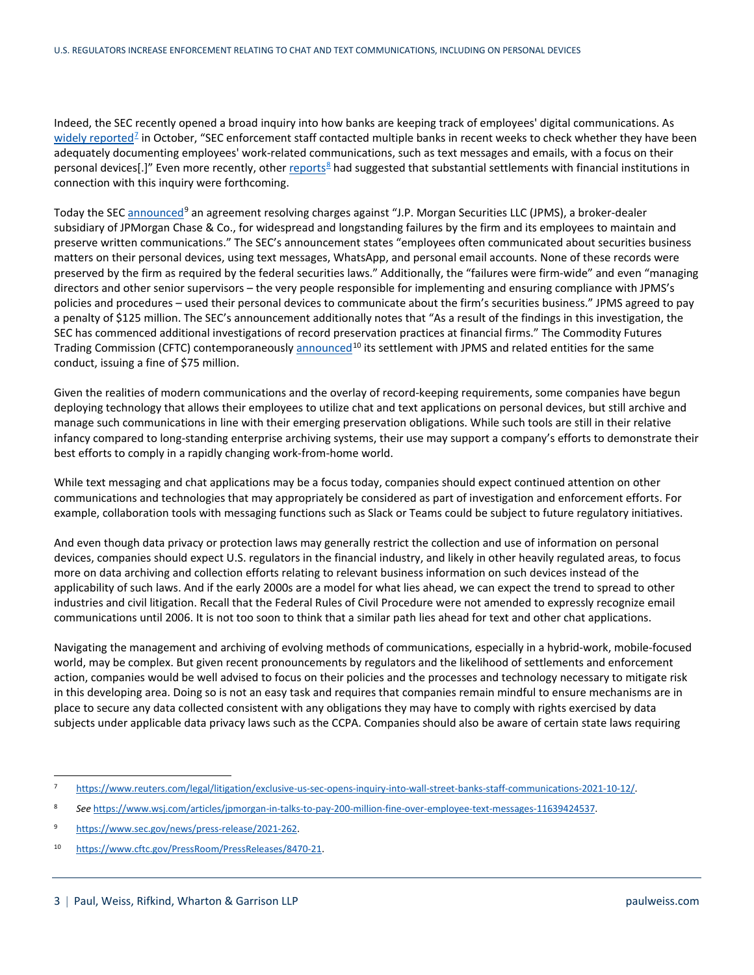Indeed, the SEC recently opened a broad inquiry into how banks are keeping track of employees' digital communications. As [widely reported](https://www.reuters.com/legal/litigation/exclusive-us-sec-opens-inquiry-into-wall-street-banks-staff-communications-2021-10-12/)<sup>[7](#page-2-0)</sup> in October, "SEC enforcement staff contacted multiple banks in recent weeks to check whether they have been adequately documenting employees' work-related communications, such as text messages and emails, with a focus on their personal devices[.]" Even more recently, other [reports](https://www.wsj.com/articles/jpmorgan-in-talks-to-pay-200-million-fine-over-employee-text-messages-11639424537)<sup>[8](#page-2-1)</sup> had suggested that substantial settlements with financial institutions in connection with this inquiry were forthcoming.

Today the SEC [announced](https://www.sec.gov/news/press-release/2021-262?utm_medium=email&utm_source=govdelivery)<sup>[9](#page-2-2)</sup> an agreement resolving charges against "J.P. Morgan Securities LLC (JPMS), a broker-dealer subsidiary of JPMorgan Chase & Co., for widespread and longstanding failures by the firm and its employees to maintain and preserve written communications." The SEC's announcement states "employees often communicated about securities business matters on their personal devices, using text messages, WhatsApp, and personal email accounts. None of these records were preserved by the firm as required by the federal securities laws." Additionally, the "failures were firm-wide" and even "managing directors and other senior supervisors – the very people responsible for implementing and ensuring compliance with JPMS's policies and procedures – used their personal devices to communicate about the firm's securities business." JPMS agreed to pay a penalty of \$125 million. The SEC's announcement additionally notes that "As a result of the findings in this investigation, the SEC has commenced additional investigations of record preservation practices at financial firms." The Commodity Futures Trading Commission (CFTC) contemporaneousl[y announced](https://www.cftc.gov/PressRoom/PressReleases/8470-21)<sup>[10](#page-2-3)</sup> its settlement with JPMS and related entities for the same conduct, issuing a fine of \$75 million.

Given the realities of modern communications and the overlay of record-keeping requirements, some companies have begun deploying technology that allows their employees to utilize chat and text applications on personal devices, but still archive and manage such communications in line with their emerging preservation obligations. While such tools are still in their relative infancy compared to long-standing enterprise archiving systems, their use may support a company's efforts to demonstrate their best efforts to comply in a rapidly changing work-from-home world.

While text messaging and chat applications may be a focus today, companies should expect continued attention on other communications and technologies that may appropriately be considered as part of investigation and enforcement efforts. For example, collaboration tools with messaging functions such as Slack or Teams could be subject to future regulatory initiatives.

And even though data privacy or protection laws may generally restrict the collection and use of information on personal devices, companies should expect U.S. regulators in the financial industry, and likely in other heavily regulated areas, to focus more on data archiving and collection efforts relating to relevant business information on such devices instead of the applicability of such laws. And if the early 2000s are a model for what lies ahead, we can expect the trend to spread to other industries and civil litigation. Recall that the Federal Rules of Civil Procedure were not amended to expressly recognize email communications until 2006. It is not too soon to think that a similar path lies ahead for text and other chat applications.

Navigating the management and archiving of evolving methods of communications, especially in a hybrid-work, mobile-focused world, may be complex. But given recent pronouncements by regulators and the likelihood of settlements and enforcement action, companies would be well advised to focus on their policies and the processes and technology necessary to mitigate risk in this developing area. Doing so is not an easy task and requires that companies remain mindful to ensure mechanisms are in place to secure any data collected consistent with any obligations they may have to comply with rights exercised by data subjects under applicable data privacy laws such as the CCPA. Companies should also be aware of certain state laws requiring

<span id="page-2-0"></span> <sup>7</sup> [https://www.reuters.com/legal/litigation/exclusive-us-sec-opens-inquiry-into-wall-street-banks-staff-communications-2021-10-12/.](https://www.reuters.com/legal/litigation/exclusive-us-sec-opens-inquiry-into-wall-street-banks-staff-communications-2021-10-12/)

<span id="page-2-1"></span><sup>8</sup> *See* [https://www.wsj.com/articles/jpmorgan-in-talks-to-pay-200-million-fine-over-employee-text-messages-11639424537.](https://www.wsj.com/articles/jpmorgan-in-talks-to-pay-200-million-fine-over-employee-text-messages-11639424537)

<span id="page-2-2"></span><sup>9</sup> [https://www.sec.gov/news/press-release/2021-262.](https://www.sec.gov/news/press-release/2021-262)

<span id="page-2-3"></span><sup>10</sup> [https://www.cftc.gov/PressRoom/PressReleases/8470-21.](https://www.cftc.gov/PressRoom/PressReleases/8470-21)